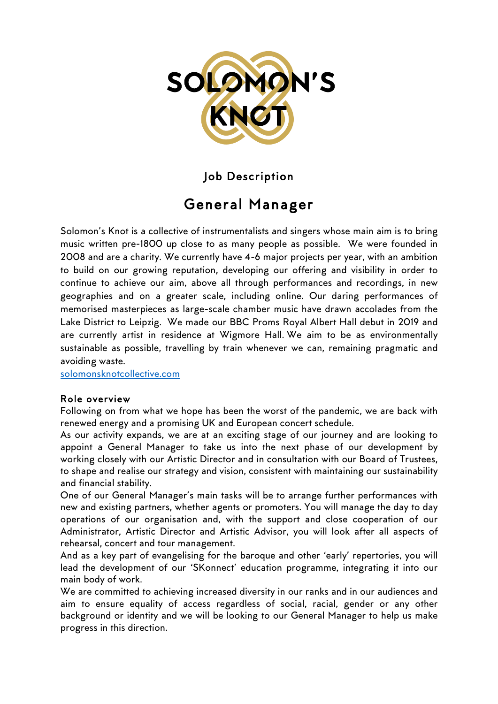

Job Description

# General Manager

Solomon's Knot is a collective of instrumentalists and singers whose main aim is to bring music written pre-1800 up close to as many people as possible. We were founded in 2008 and are a charity. We currently have 4-6 major projects per year, with an ambition to build on our growing reputation, developing our offering and visibility in order to continue to achieve our aim, above all through performances and recordings, in new geographies and on a greater scale, including online. Our daring performances of memorised masterpieces as large-scale chamber music have drawn accolades from the Lake District to Leipzig. We made our BBC Proms Royal Albert Hall debut in 2019 and are currently artist in residence at Wigmore Hall. We aim to be as environmentally sustainable as possible, travelling by train whenever we can, remaining pragmatic and avoiding waste.

solomonsknotcollective.com

### Role overview

Following on from what we hope has been the worst of the pandemic, we are back with renewed energy and a promising UK and European concert schedule.

As our activity expands, we are at an exciting stage of our journey and are looking to appoint a General Manager to take us into the next phase of our development by working closely with our Artistic Director and in consultation with our Board of Trustees, to shape and realise our strategy and vision, consistent with maintaining our sustainability and financial stability.

One of our General Manager's main tasks will be to arrange further performances with new and existing partners, whether agents or promoters. You will manage the day to day operations of our organisation and, with the support and close cooperation of our Administrator, Artistic Director and Artistic Advisor, you will look after all aspects of rehearsal, concert and tour management.

And as a key part of evangelising for the baroque and other 'early' repertories, you will lead the development of our 'SKonnect' education programme, integrating it into our main body of work.

We are committed to achieving increased diversity in our ranks and in our audiences and aim to ensure equality of access regardless of social, racial, gender or any other background or identity and we will be looking to our General Manager to help us make progress in this direction.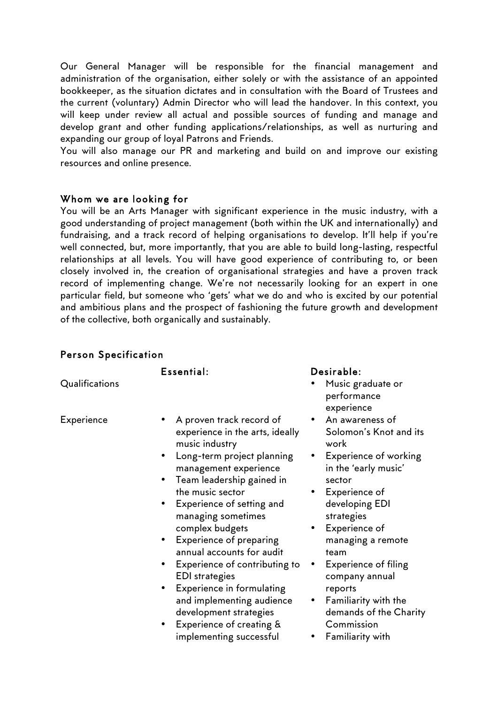Our General Manager will be responsible for the financial management and administration of the organisation, either solely or with the assistance of an appointed bookkeeper, as the situation dictates and in consultation with the Board of Trustees and the current (voluntary) Admin Director who will lead the handover. In this context, you will keep under review all actual and possible sources of funding and manage and develop grant and other funding applications/relationships, as well as nurturing and expanding our group of loyal Patrons and Friends.

You will also manage our PR and marketing and build on and improve our existing resources and online presence.

### Whom we are looking for

You will be an Arts Manager with significant experience in the music industry, with a good understanding of project management (both within the UK and internationally) and fundraising, and a track record of helping organisations to develop. It'll help if you're well connected, but, more importantly, that you are able to build long-lasting, respectful relationships at all levels. You will have good experience of contributing to, or been closely involved in, the creation of organisational strategies and have a proven track record of implementing change. We're not necessarily looking for an expert in one particular field, but someone who 'gets' what we do and who is excited by our potential and ambitious plans and the prospect of fashioning the future growth and development of the collective, both organically and sustainably.

### Person Specification

Qualifications • Music graduate or

- 
- Experience A proven track record of experience in the arts, ideally music industry
	- Long-term project planning management experience
	- Team leadership gained in the music sector
	- Experience of setting and managing sometimes complex budgets
	- Experience of preparing annual accounts for audit
	- Experience of contributing to EDI strategies
	- Experience in formulating and implementing audience development strategies
	- Experience of creating & implementing successful

### Essential: Desirable:

- performance experience
- An awareness of Solomon's Knot and its work
- Experience of working in the 'early music' sector
- Experience of developing EDI strategies
- Experience of managing a remote team
- Experience of filing company annual reports
- Familiarity with the demands of the Charity Commission
- Familiarity with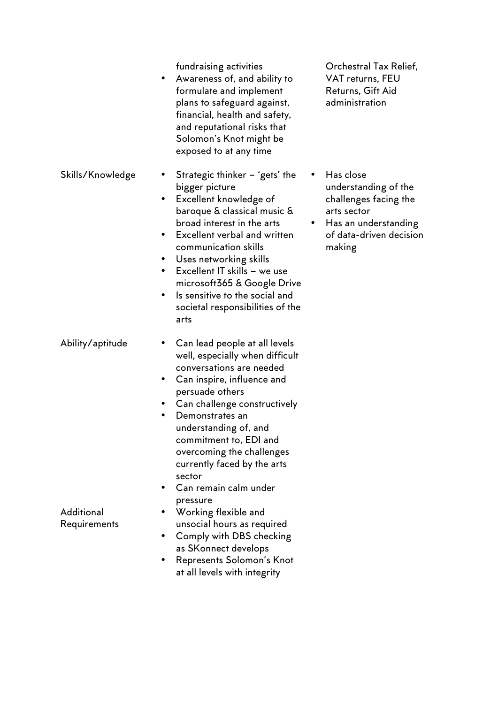fundraising activities

- Awareness of, and ability to formulate and implement plans to safeguard against, financial, health and safety, and reputational risks that Solomon's Knot might be exposed to at any time
- Skills/Knowledge Strategic thinker 'gets' the bigger picture
	- Excellent knowledge of baroque & classical music & broad interest in the arts
	- Excellent verbal and written communication skills
	- Uses networking skills
	- Excellent IT skills we use microsoft365 & Google Drive
	- Is sensitive to the social and societal responsibilities of the arts
- Ability/aptitude Can lead people at all levels well, especially when difficult conversations are needed
	- Can inspire, influence and persuade others
	- Can challenge constructively
	- Demonstrates an understanding of, and commitment to, EDI and overcoming the challenges currently faced by the arts sector
	- Can remain calm under pressure
	- Working flexible and unsocial hours as required
	- Comply with DBS checking as SKonnect develops
	- Represents Solomon's Knot at all levels with integrity

Orchestral Tax Relief, VAT returns, FEU Returns, Gift Aid administration

- Has close understanding of the challenges facing the arts sector
- Has an understanding of data-driven decision making

**Additional** Requirements